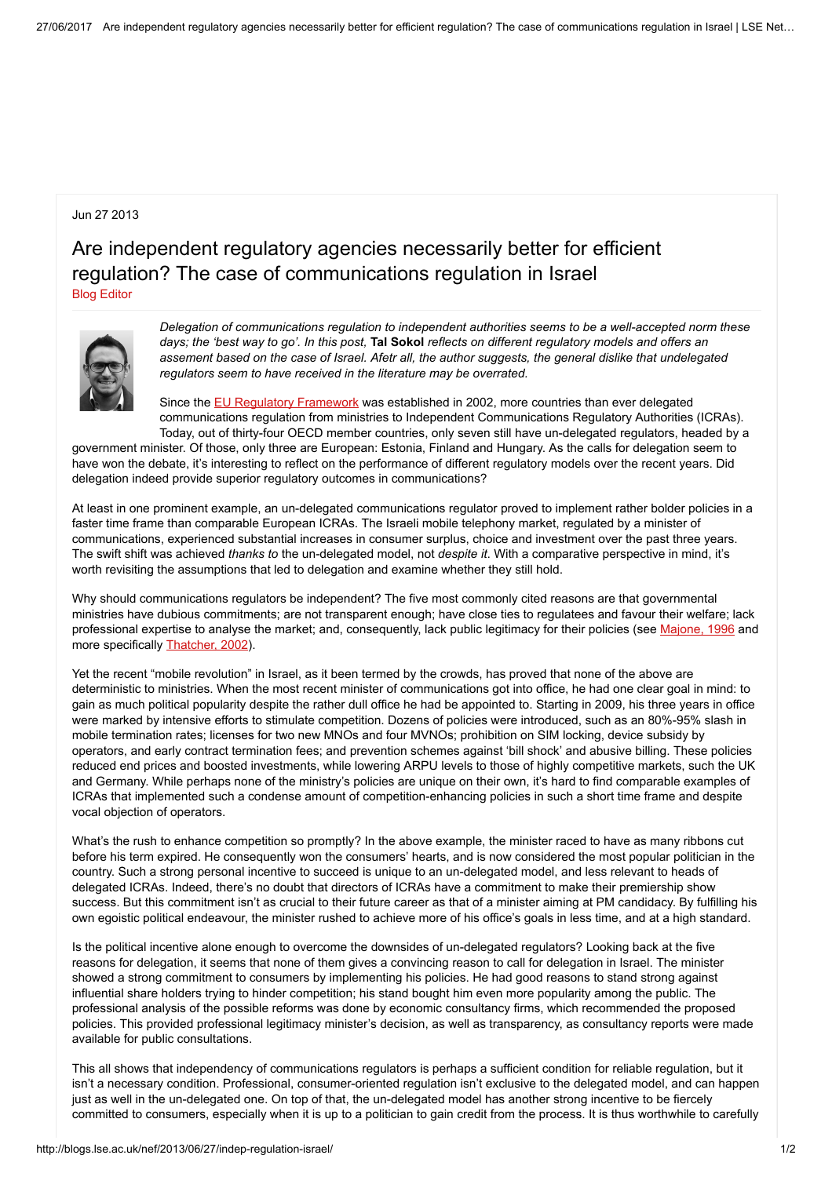## Jun 27 2013

## Are independent regulatory agencies necessarily better for efficient regulation? The case of communications regulation in Israel Blog [Editor](http://blogs.lse.ac.uk/nef/author/bonina/)



Delegation of communications regulation to independent authorities seems to be a well-accepted norm these days; the 'best way to go'. In this post, Tal Sokol reflects on different regulatory models and offers an assement based on the case of Israel. Afetr all, the author suggests, the general dislike that undelegated regulators seem to have received in the literature may be overrated.

Since the **EU Regulatory [Framework](http://europa.eu/legislation_summaries/information_society/legislative_framework/l24216a_en.htm)** was established in 2002, more countries than ever delegated communications regulation from ministries to Independent Communications Regulatory Authorities (ICRAs). Today, out of thirty-four OECD member countries, only seven still have un-delegated regulators, headed by a

government minister. Of those, only three are European: Estonia, Finland and Hungary. As the calls for delegation seem to have won the debate, it's interesting to reflect on the performance of different regulatory models over the recent years. Did delegation indeed provide superior regulatory outcomes in communications?

At least in one prominent example, an un-delegated communications regulator proved to implement rather bolder policies in a faster time frame than comparable European ICRAs. The Israeli mobile telephony market, regulated by a minister of communications, experienced substantial increases in consumer surplus, choice and investment over the past three years. The swift shift was achieved thanks to the un-delegated model, not despite it. With a comparative perspective in mind, it's worth revisiting the assumptions that led to delegation and examine whether they still hold.

Why should communications regulators be independent? The five most commonly cited reasons are that governmental ministries have dubious commitments; are not transparent enough; have close ties to regulatees and favour their welfare; lack professional expertise to analyse the market; and, consequently, lack public legitimacy for their policies (see [Majone,](http://lib.myilibrary.com/?ID=31981) 1996 and more specifically [Thatcher,](http://dx.doi.org/10.1080/1350176022000046445) 2002).

Yet the recent "mobile revolution" in Israel, as it been termed by the crowds, has proved that none of the above are deterministic to ministries. When the most recent minister of communications got into office, he had one clear goal in mind: to gain as much political popularity despite the rather dull office he had be appointed to. Starting in 2009, his three years in office were marked by intensive efforts to stimulate competition. Dozens of policies were introduced, such as an 80%-95% slash in mobile termination rates; licenses for two new MNOs and four MVNOs; prohibition on SIM locking, device subsidy by operators, and early contract termination fees; and prevention schemes against 'bill shock' and abusive billing. These policies reduced end prices and boosted investments, while lowering ARPU levels to those of highly competitive markets, such the UK and Germany. While perhaps none of the ministry's policies are unique on their own, it's hard to find comparable examples of ICRAs that implemented such a condense amount of competition-enhancing policies in such a short time frame and despite vocal objection of operators.

What's the rush to enhance competition so promptly? In the above example, the minister raced to have as many ribbons cut before his term expired. He consequently won the consumers' hearts, and is now considered the most popular politician in the country. Such a strong personal incentive to succeed is unique to an un-delegated model, and less relevant to heads of delegated ICRAs. Indeed, there's no doubt that directors of ICRAs have a commitment to make their premiership show success. But this commitment isn't as crucial to their future career as that of a minister aiming at PM candidacy. By fulfilling his own egoistic political endeavour, the minister rushed to achieve more of his office's goals in less time, and at a high standard.

Is the political incentive alone enough to overcome the downsides of un-delegated regulators? Looking back at the five reasons for delegation, it seems that none of them gives a convincing reason to call for delegation in Israel. The minister showed a strong commitment to consumers by implementing his policies. He had good reasons to stand strong against influential share holders trying to hinder competition; his stand bought him even more popularity among the public. The professional analysis of the possible reforms was done by economic consultancy firms, which recommended the proposed policies. This provided professional legitimacy minister's decision, as well as transparency, as consultancy reports were made available for public consultations.

This all shows that independency of communications regulators is perhaps a sufficient condition for reliable regulation, but it isn't a necessary condition. Professional, consumer-oriented regulation isn't exclusive to the delegated model, and can happen just as well in the un-delegated one. On top of that, the un-delegated model has another strong incentive to be fiercely committed to consumers, especially when it is up to a politician to gain credit from the process. It is thus worthwhile to carefully